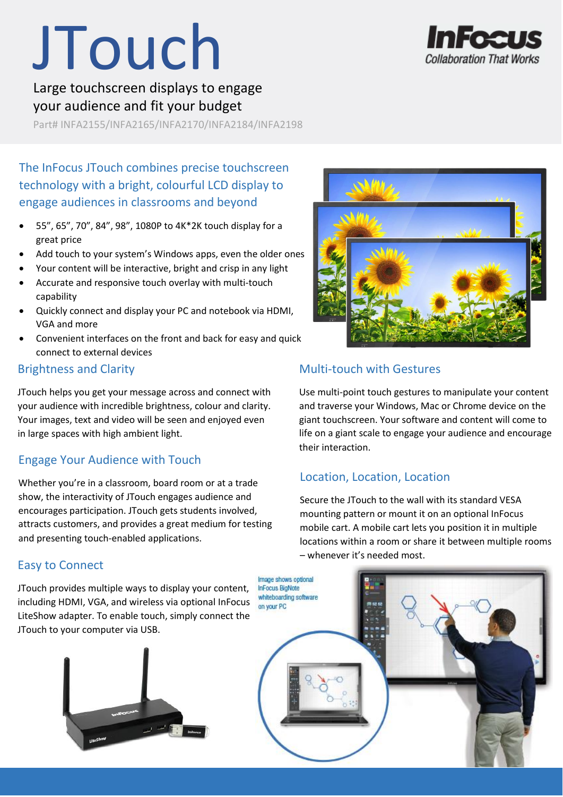# JTouch

Large touchscreen displays to engage your audience and fit your budget

Part# INFA2155/INFA2165/INFA2170/INFA2184/INFA2198

The InFocus JTouch combines precise touchscreen technology with a bright, colourful LCD display to engage audiences in classrooms and beyond

- 55", 65", 70", 84", 98", 1080P to 4K\*2K touch display for a great price
- Add touch to your system's Windows apps, even the older ones
- Your content will be interactive, bright and crisp in any light
- Accurate and responsive touch overlay with multi-touch capability
- Quickly connect and display your PC and notebook via HDMI, VGA and more
- Convenient interfaces on the front and back for easy and quick connect to external devices

#### Brightness and Clarity

JTouch helps you get your message across and connect with your audience with incredible brightness, colour and clarity. Your images, text and video will be seen and enjoyed even in large spaces with high ambient light.

# Engage Your Audience with Touch

Whether you're in a classroom, board room or at a trade show, the interactivity of JTouch engages audience and encourages participation. JTouch gets students involved, attracts customers, and provides a great medium for testing and presenting touch-enabled applications.

#### Easy to Connect

JTouch provides multiple ways to display your content, including HDMI, VGA, and wireless via optional InFocus LiteShow adapter. To enable touch, simply connect the JTouch to your computer via USB.





Infeal

**Collaboration That Works** 

#### Multi-touch with Gestures

Use multi-point touch gestures to manipulate your content and traverse your Windows, Mac or Chrome device on the giant touchscreen. Your software and content will come to life on a giant scale to engage your audience and encourage their interaction.

# Location, Location, Location

Image shows optional **InFocus BigNote** whiteboarding software on your PC

Secure the JTouch to the wall with its standard VESA mounting pattern or mount it on an optional InFocus mobile cart. A mobile cart lets you position it in multiple locations within a room or share it between multiple rooms – whenever it's needed most.